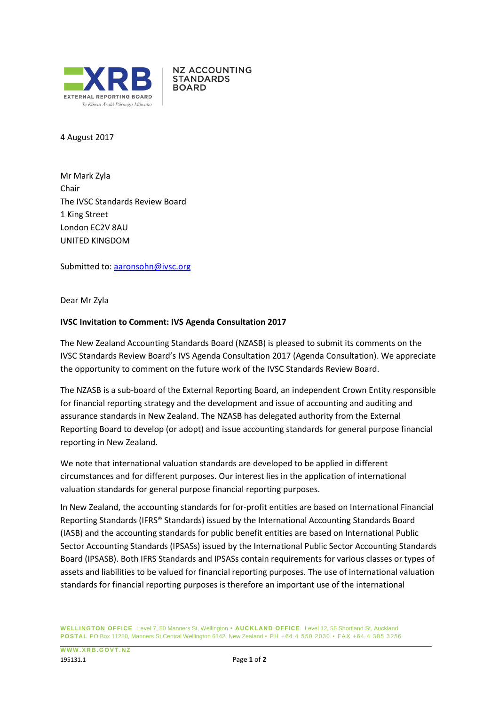

**NZ ACCOUNTING STANDARDS BOARD** 

4 August 2017

Mr Mark Zyla Chair The IVSC Standards Review Board 1 King Street London EC2V 8AU UNITED KINGDOM

Submitted to: [aaronsohn@ivsc.org](mailto:aaronsohn@ivsc.org)

Dear Mr Zyla

## **IVSC Invitation to Comment: IVS Agenda Consultation 2017**

The New Zealand Accounting Standards Board (NZASB) is pleased to submit its comments on the IVSC Standards Review Board's IVS Agenda Consultation 2017 (Agenda Consultation). We appreciate the opportunity to comment on the future work of the IVSC Standards Review Board.

The NZASB is a sub-board of the External Reporting Board, an independent Crown Entity responsible for financial reporting strategy and the development and issue of accounting and auditing and assurance standards in New Zealand. The NZASB has delegated authority from the External Reporting Board to develop (or adopt) and issue accounting standards for general purpose financial reporting in New Zealand.

We note that international valuation standards are developed to be applied in different circumstances and for different purposes. Our interest lies in the application of international valuation standards for general purpose financial reporting purposes.

In New Zealand, the accounting standards for for-profit entities are based on International Financial Reporting Standards (IFRS® Standards) issued by the International Accounting Standards Board (IASB) and the accounting standards for public benefit entities are based on International Public Sector Accounting Standards (IPSASs) issued by the International Public Sector Accounting Standards Board (IPSASB). Both IFRS Standards and IPSASs contain requirements for various classes or types of assets and liabilities to be valued for financial reporting purposes. The use of international valuation standards for financial reporting purposes is therefore an important use of the international

**WELLINGTON OFFICE** Level 7, 50 Manners St, Wellington **• AUCKLAND OFFICE** Level 12, 55 Shortland St, Auckland **POSTAL** PO Box 11250, Manners St Central Wellington 6142, New Zealand • PH +64 4 550 2030 • FAX +64 4 385 3256